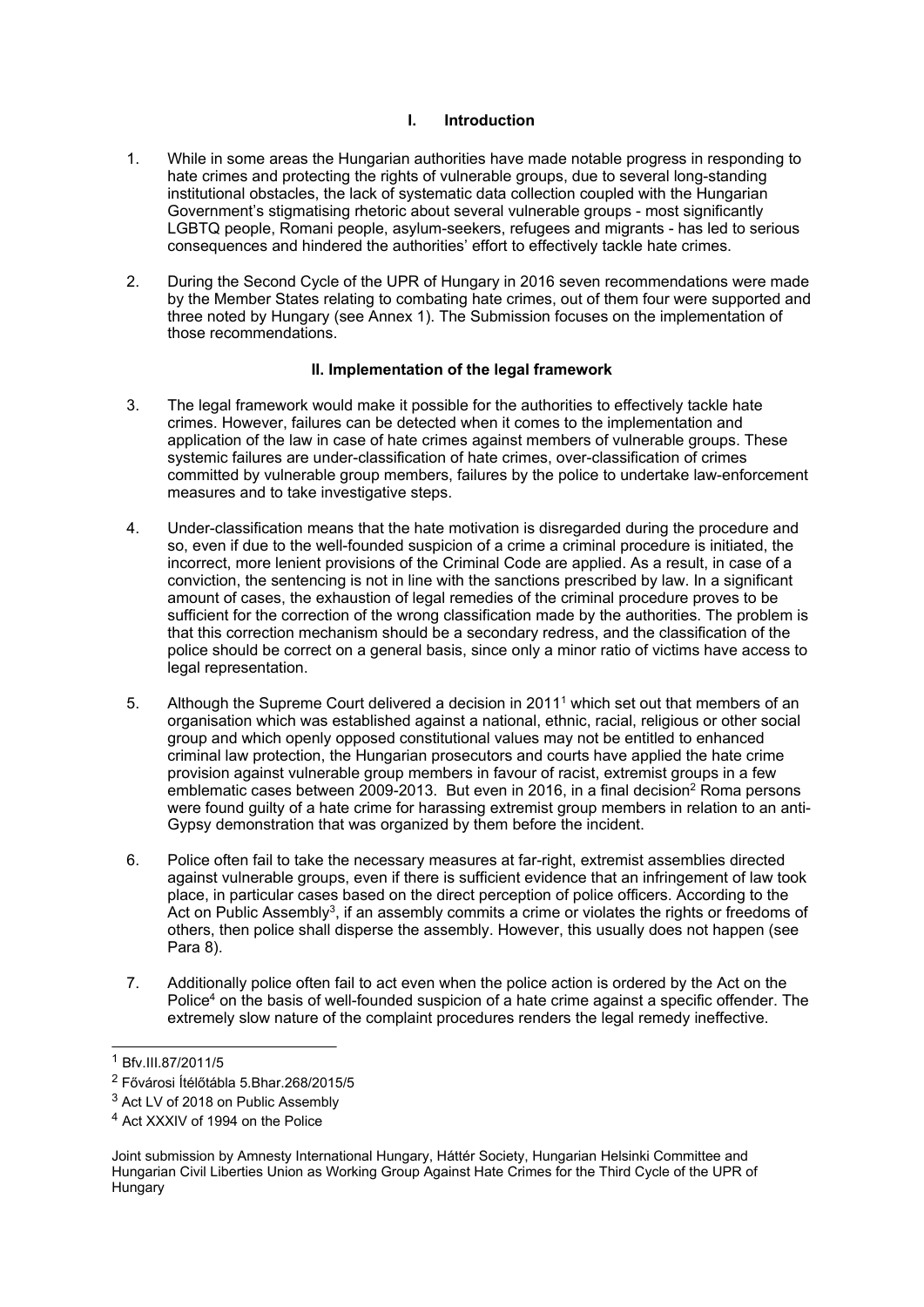# **I. Introduction**

- 1. While in some areas the Hungarian authorities have made notable progress in responding to hate crimes and protecting the rights of vulnerable groups, due to several long-standing institutional obstacles, the lack of systematic data collection coupled with the Hungarian Government'<sup>s</sup> stigmatising rhetoric about several vulnerable groups - most significantly LGBTQ people, Romani people, asylum-seekers, refugees and migrants - has led to serious consequences and hindered the authorities' effort to effectively tackle hate crimes.
- 2. During the Second Cycle of the UPR of Hungary in 2016 seven recommendations were made by the Member States relating to combating hate crimes, out of them four were supported and three noted by Hungary (see Annex 1). The Submission focuses on the implementation of those recommendations.

## **II. Implementation of the legal framework**

- 3. The legal framework would make it possible for the authorities to effectively tackle hate crimes. However, failures can be detected when it comes to the implementation and application of the law in case of hate crimes against members of vulnerable groups. These systemic failures are under-classification of hate crimes, over-classification of crimes committed by vulnerable group members, failures by the police to undertake law-enforcement measures and to take investigative steps.
- 4. Under-classification means that the hate motivation is disregarded during the procedure and so, even if due to the well-founded suspicion of <sup>a</sup> crime <sup>a</sup> criminal procedure is initiated, the incorrect, more lenient provisions of the Criminal Code are applied. As <sup>a</sup> result, in case of <sup>a</sup> conviction, the sentencing is not in line with the sanctions prescribed by law. In <sup>a</sup> significant amount of cases, the exhaustion of legal remedies of the criminal procedure proves to be sufficient for the correction of the wrong classification made by the authorities. The problem is that this correction mechanism should be <sup>a</sup> secondary redress, and the classification of the police should be correct on <sup>a</sup> general basis, since only <sup>a</sup> minor ratio of victims have access to legal representation.
- 5. Although the Supreme Court delivered <sup>a</sup> decision in 2011<sup>1</sup> which set out that members of an organisation which was established against <sup>a</sup> national, ethnic, racial, religious or other social group and which openly opposed constitutional values may not be entitled to enhanced criminal law protection, the Hungarian prosecutors and courts have applied the hate crime provision against vulnerable group members in favour of racist, extremist groups in <sup>a</sup> few emblematic cases between 2009-2013. But even in 2016, in a final decision<sup>2</sup> Roma persons were found guilty of <sup>a</sup> hate crime for harassing extremist group members in relation to an anti-Gypsy demonstration that was organized by them before the incident.
- 6. Police often fail to take the necessary measures at far-right, extremist assemblies directed against vulnerable groups, even if there is sufficient evidence that an infringement of law took place, in particular cases based on the direct perception of police officers. According to the Act on Public Assembly<sup>3</sup>, if an assembly commits a crime or violates the rights or freedoms of others, then police shall disperse the assembly. However, this usually does not happen (see Para 8).
- 7. Additionally police often fail to act even when the police action is ordered by the Act on the Police<sup>4</sup> on the basis of well-founded suspicion of a hate crime against a specific offender. The extremely slow nature of the complaint procedures renders the legal remedy ineffective.

<sup>1</sup> Bfv.III.87/2011/5

<sup>2</sup> Fővárosi Ítélőtábla 5.Bhar.268/2015/5

<sup>&</sup>lt;sup>3</sup> Act LV of 2018 on Public Assembly

<sup>4</sup> Act XXXIV of 1994 on the Police

Joint submission by Amnesty International Hungary, Háttér Society, Hungarian Helsinki Committee and Hungarian Civil Liberties Union as Working Group Against Hate Crimes for the Third Cycle of the UPR of **Hungary**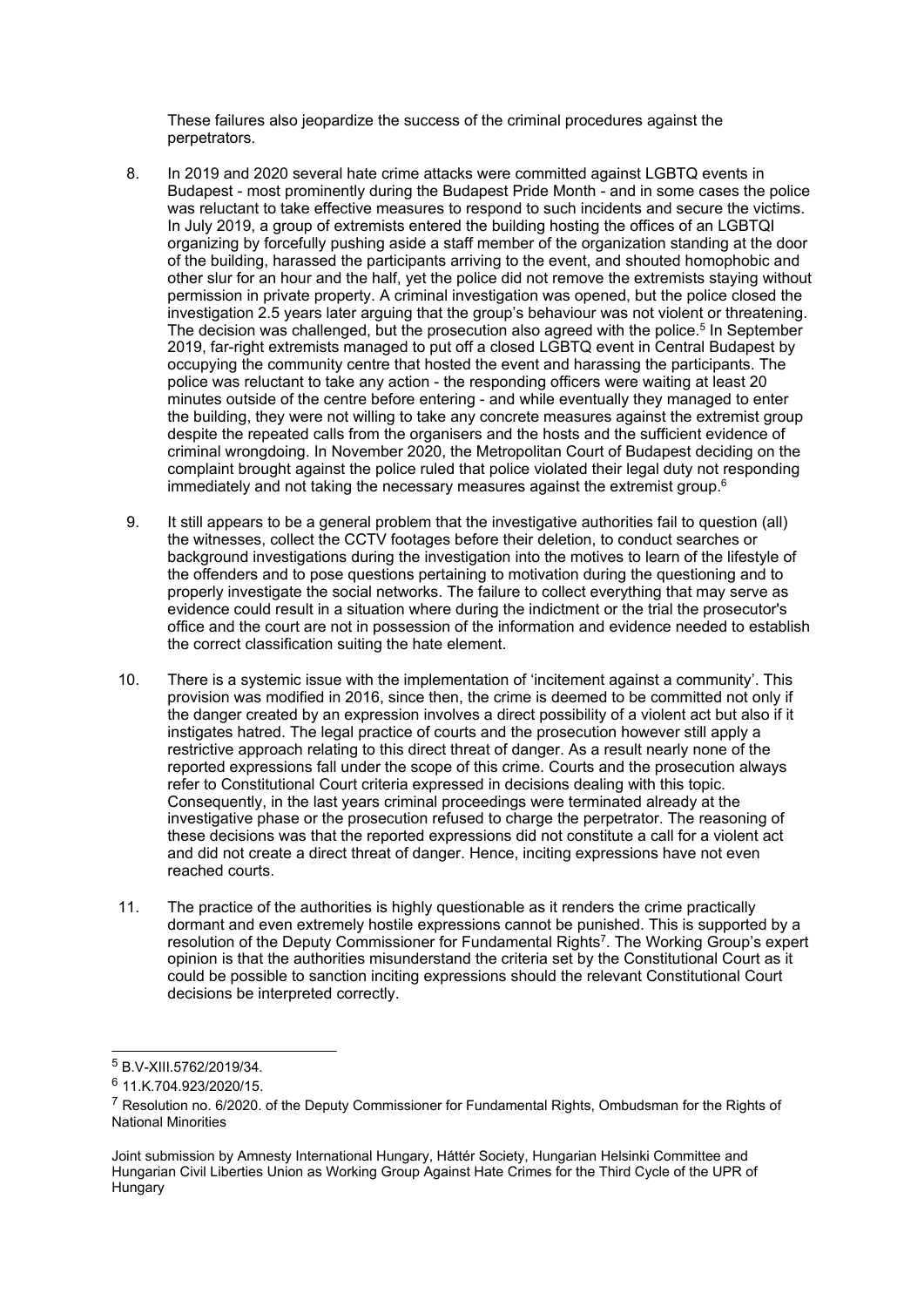These failures also jeopardize the success of the criminal procedures against the perpetrators.

- 8. In 2019 and 2020 several hate crime attacks were committed against LGBTQ events in Budapest - most prominently during the Budapest Pride Month - and in some cases the police was reluctant to take effective measures to respond to such incidents and secure the victims. In July 2019, <sup>a</sup> group of extremists entered the building hosting the offices of an LGBTQI organizing by forcefully pushing aside <sup>a</sup> staff member of the organization standing at the door of the building, harassed the participants arriving to the event, and shouted homophobic and other slur for an hour and the half, yet the police did not remove the extremists staying without permission in private property. A criminal investigation was opened, but the police closed the investigation 2.5 years later arguing that the group'<sup>s</sup> behaviour was not violent or threatening. The decision was challenged, but the prosecution also agreed with the police. 5 In September 2019, far-right extremists managed to put off <sup>a</sup> closed LGBTQ event in Central Budapest by occupying the community centre that hosted the event and harassing the participants. The police was reluctant to take any action - the responding officers were waiting at least 20 minutes outside of the centre before entering - and while eventually they managed to enter the building, they were not willing to take any concrete measures against the extremist group despite the repeated calls from the organisers and the hosts and the sufficient evidence of criminal wrongdoing. In November 2020, the Metropolitan Court of Budapest deciding on the complaint brought against the police ruled that police violated their legal duty not responding immediately and not taking the necessary measures against the extremist group. $^{\rm c}$
- 9. It still appears to be <sup>a</sup> general problem that the investigative authorities fail to question (all) the witnesses, collect the CCTV footages before their deletion, to conduct searches or background investigations during the investigation into the motives to learn of the lifestyle of the offenders and to pose questions pertaining to motivation during the questioning and to properly investigate the social networks. The failure to collect everything that may serve as evidence could result in <sup>a</sup> situation where during the indictment or the trial the prosecutor's office and the court are not in possession of the information and evidence needed to establish the correct classification suiting the hate element.
- 10. There is <sup>a</sup> systemic issue with the implementation of 'incitement against <sup>a</sup> community'. This provision was modified in 2016, since then, the crime is deemed to be committed not only if the danger created by an expression involves <sup>a</sup> direct possibility of <sup>a</sup> violent act but also if it instigates hatred. The legal practice of courts and the prosecution however still apply <sup>a</sup> restrictive approach relating to this direct threat of danger. As <sup>a</sup> result nearly none of the reported expressions fall under the scope of this crime. Courts and the prosecution always refer to Constitutional Court criteria expressed in decisions dealing with this topic. Consequently, in the last years criminal proceedings were terminated already at the investigative phase or the prosecution refused to charge the perpetrator. The reasoning of these decisions was that the reported expressions did not constitute <sup>a</sup> call for <sup>a</sup> violent act and did not create <sup>a</sup> direct threat of danger. Hence, inciting expressions have not even reached courts.
- 11. The practice of the authorities is highly questionable as it renders the crime practically dormant and even extremely hostile expressions cannot be punished. This is supported by <sup>a</sup> resolution of the Deputy Commissioner for Fundamental Rights<sup>7</sup>. The Working Group's expert opinion is that the authorities misunderstand the criteria set by the Constitutional Court as it could be possible to sanction inciting expressions should the relevant Constitutional Court decisions be interpreted correctly.

<sup>5</sup> B.V-XIII.5762/2019/34.

<sup>&</sup>lt;sup>6</sup> 11.K.704.923/2020/15.

<sup>&</sup>lt;sup>7</sup> Resolution no. 6/2020. of the Deputy Commissioner for Fundamental Rights, Ombudsman for the Rights of National Minorities

Joint submission by Amnesty International Hungary, Háttér Society, Hungarian Helsinki Committee and Hungarian Civil Liberties Union as Working Group Against Hate Crimes for the Third Cycle of the UPR of Hungary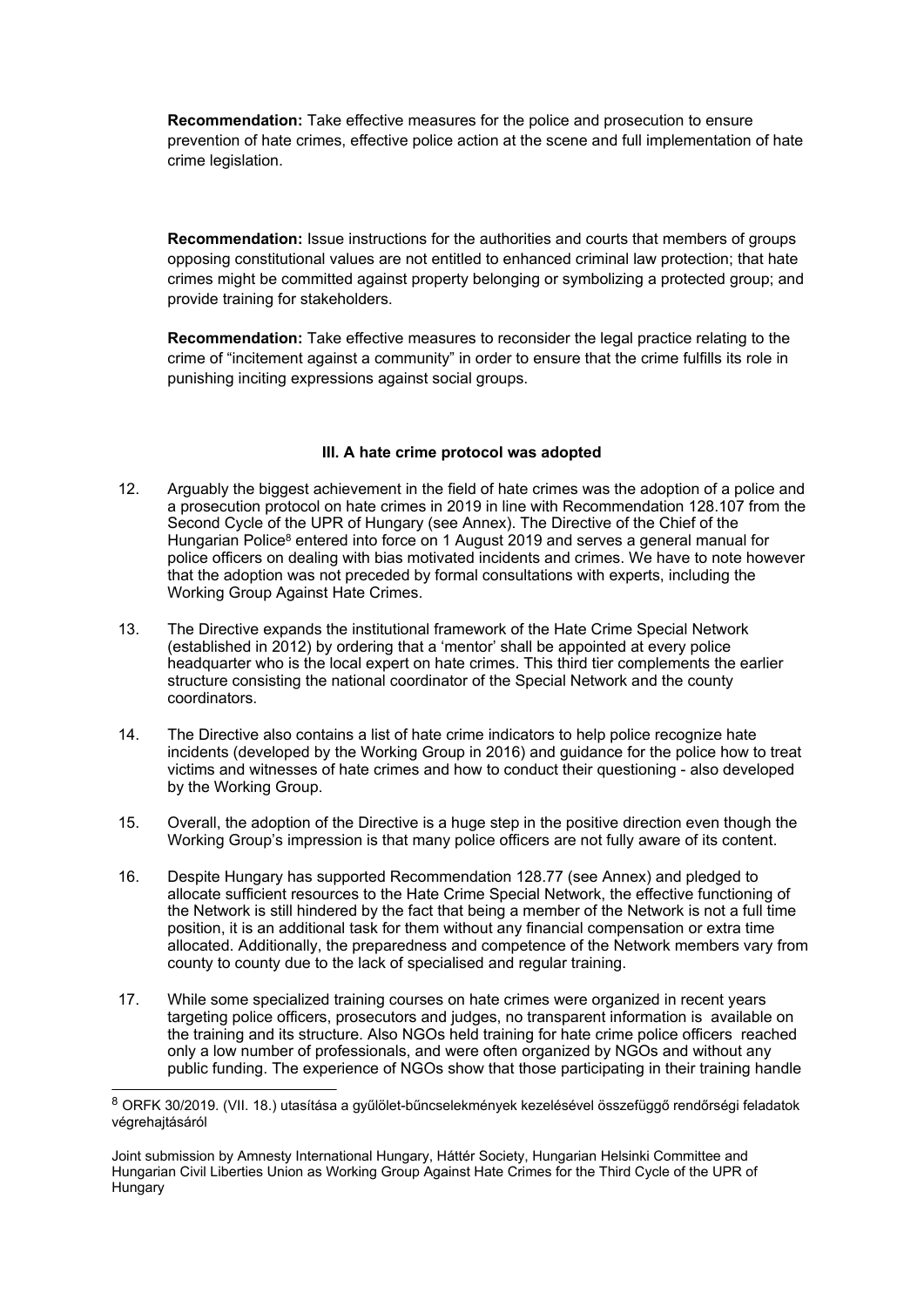**Recommendation:** Take effective measures for the police and prosecution to ensure prevention of hate crimes, effective police action at the scene and full implementation of hate crime legislation.

**Recommendation:** Issue instructions for the authorities and courts that members of groups opposing constitutional values are not entitled to enhanced criminal law protection; that hate crimes might be committed against property belonging or symbolizing <sup>a</sup> protected group; and provide training for stakeholders.

**Recommendation:** Take effective measures to reconsider the legal practice relating to the crime of "incitement against <sup>a</sup> community" in order to ensure that the crime fulfills its role in punishing inciting expressions against social groups.

# **III. A hate crime protocol was adopted**

- 12. Arguably the biggest achievement in the field of hate crimes was the adoption of <sup>a</sup> police and <sup>a</sup> prosecution protocol on hate crimes in 2019 in line with Recommendation 128.107 from the Second Cycle of the UPR of Hungary (see Annex). The Directive of the Chief of the Hungarian Police<sup>8</sup> entered into force on 1 August 2019 and serves a general manual for police officers on dealing with bias motivated incidents and crimes. We have to note however that the adoption was not preceded by formal consultations with experts, including the Working Group Against Hate Crimes.
- 13. The Directive expands the institutional framework of the Hate Crime Special Network (established in 2012) by ordering that <sup>a</sup> 'mentor' shall be appointed at every police headquarter who is the local expert on hate crimes. This third tier complements the earlier structure consisting the national coordinator of the Special Network and the county coordinators.
- 14. The Directive also contains <sup>a</sup> list of hate crime indicators to help police recognize hate incidents (developed by the Working Group in 2016) and guidance for the police how to treat victims and witnesses of hate crimes and how to conduct their questioning - also developed by the Working Group.
- 15. Overall, the adoption of the Directive is <sup>a</sup> huge step in the positive direction even though the Working Group'<sup>s</sup> impression is that many police officers are not fully aware of its content.
- 16. Despite Hungary has supported Recommendation 128.77 (see Annex) and pledged to allocate sufficient resources to the Hate Crime Special Network, the effective functioning of the Network is still hindered by the fact that being <sup>a</sup> member of the Network is not <sup>a</sup> full time position, it is an additional task for them without any financial compensation or extra time allocated. Additionally, the preparedness and competence of the Network members vary from county to county due to the lack of specialised and regular training.
- 17. While some specialized training courses on hate crimes were organized in recent years targeting police officers, prosecutors and judges, no transparent information is available on the training and its structure. Also NGOs held training for hate crime police officers reached only <sup>a</sup> low number of professionals, and were often organized by NGOs and without any public funding. The experience of NGOs show that those participating in their training handle

<sup>8</sup> ORFK 30/2019. (VII. 18.) utasítása <sup>a</sup> gyűlölet-bűncselekmények kezelésével összefüggő rendőrségi feladatok végrehajtásáról

Joint submission by Amnesty International Hungary, Háttér Society, Hungarian Helsinki Committee and Hungarian Civil Liberties Union as Working Group Against Hate Crimes for the Third Cycle of the UPR of Hungary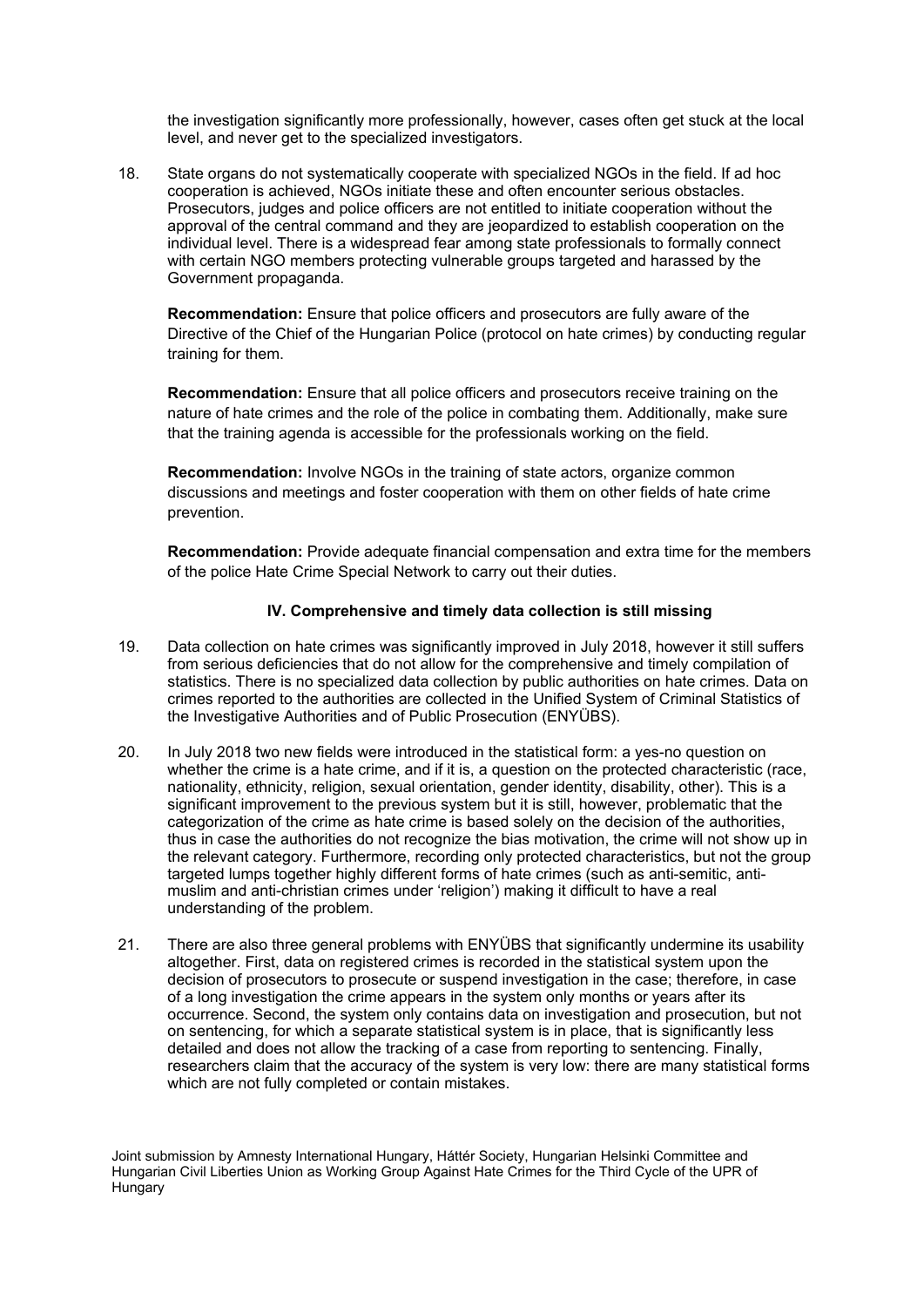the investigation significantly more professionally, however, cases often get stuck at the local level, and never get to the specialized investigators.

18. State organs do not systematically cooperate with specialized NGOs in the field. If ad hoc cooperation is achieved, NGOs initiate these and often encounter serious obstacles. Prosecutors, judges and police officers are not entitled to initiate cooperation without the approval of the central command and they are jeopardized to establish cooperation on the individual level. There is <sup>a</sup> widespread fear among state professionals to formally connect with certain NGO members protecting vulnerable groups targeted and harassed by the Government propaganda.

**Recommendation:** Ensure that police officers and prosecutors are fully aware of the Directive of the Chief of the Hungarian Police (protocol on hate crimes) by conducting regular training for them.

**Recommendation:** Ensure that all police officers and prosecutors receive training on the nature of hate crimes and the role of the police in combating them. Additionally, make sure that the training agenda is accessible for the professionals working on the field.

**Recommendation:** Involve NGOs in the training of state actors, organize common discussions and meetings and foster cooperation with them on other fields of hate crime prevention.

**Recommendation:** Provide adequate financial compensation and extra time for the members of the police Hate Crime Special Network to carry out their duties.

#### **IV. Comprehensive and timely data collection is still missing**

- 19. Data collection on hate crimes was significantly improved in July 2018, however it still suffers from serious deficiencies that do not allow for the comprehensive and timely compilation of statistics. There is no specialized data collection by public authorities on hate crimes. Data on crimes reported to the authorities are collected in the Unified System of Criminal Statistics of the Investigative Authorities and of Public Prosecution (ENYÜBS).
- 20. In July 2018 two new fields were introduced in the statistical form: <sup>a</sup> yes-no question on whether the crime is <sup>a</sup> hate crime, and if it is, <sup>a</sup> question on the protected characteristic (race, nationality, ethnicity, religion, sexual orientation, gender identity, disability, other). This is <sup>a</sup> significant improvement to the previous system but it is still, however, problematic that the categorization of the crime as hate crime is based solely on the decision of the authorities, thus in case the authorities do not recognize the bias motivation, the crime will not show up in the relevant category. Furthermore, recording only protected characteristics, but not the group targeted lumps together highly different forms of hate crimes (such as anti-semitic, antimuslim and anti-christian crimes under 'religion') making it difficult to have <sup>a</sup> real understanding of the problem.
- 21. There are also three general problems with ENYÜBS that significantly undermine its usability altogether. First, data on registered crimes is recorded in the statistical system upon the decision of prosecutors to prosecute or suspend investigation in the case; therefore, in case of <sup>a</sup> long investigation the crime appears in the system only months or years after its occurrence. Second, the system only contains data on investigation and prosecution, but not on sentencing, for which <sup>a</sup> separate statistical system is in place, that is significantly less detailed and does not allow the tracking of <sup>a</sup> case from reporting to sentencing. Finally, researchers claim that the accuracy of the system is very low: there are many statistical forms which are not fully completed or contain mistakes.

Joint submission by Amnesty International Hungary, Háttér Society, Hungarian Helsinki Committee and Hungarian Civil Liberties Union as Working Group Against Hate Crimes for the Third Cycle of the UPR of **Hungary**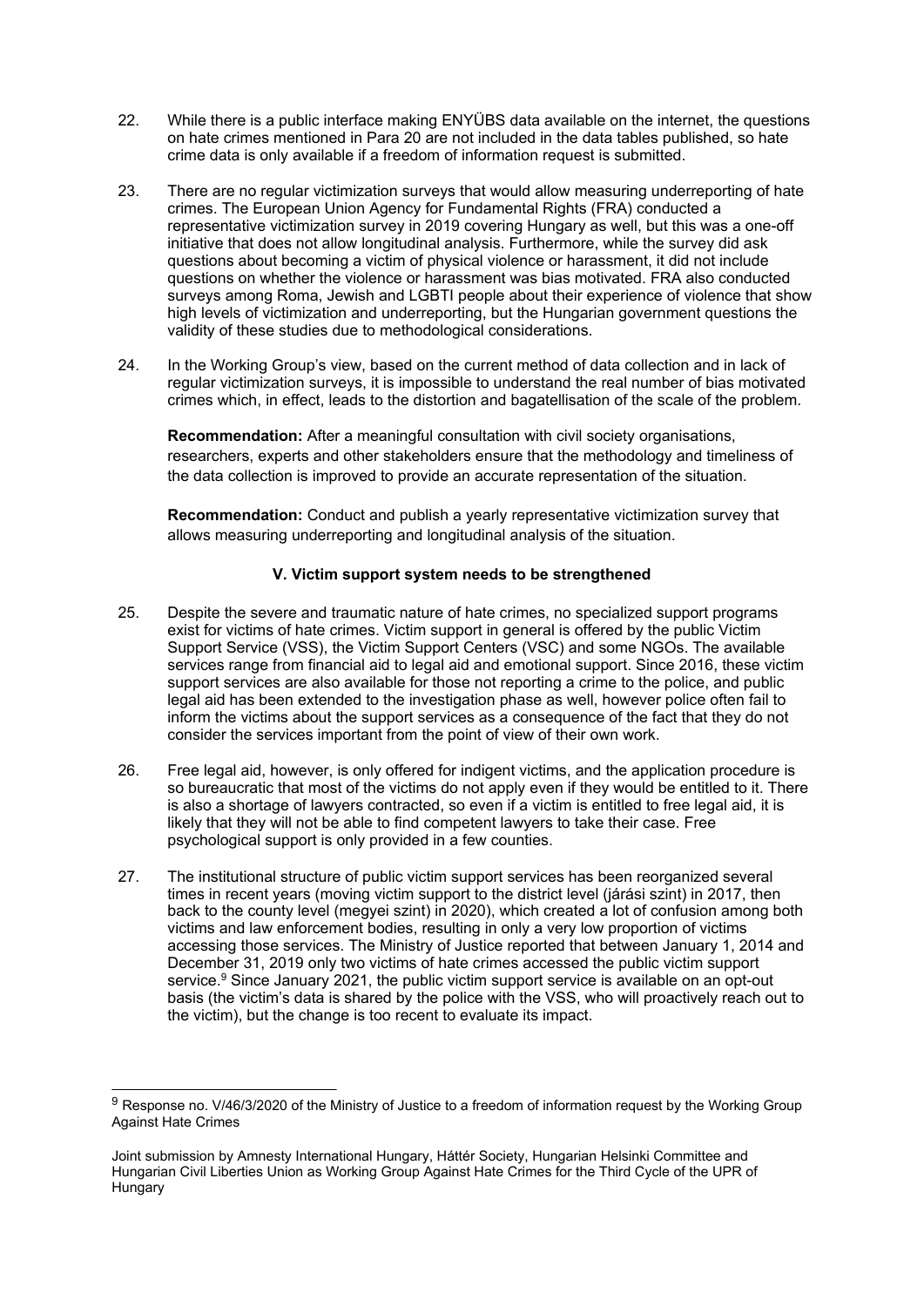- 22. While there is <sup>a</sup> public interface making ENYÜBS data available on the internet, the questions on hate crimes mentioned in Para 20 are not included in the data tables published, so hate crime data is only available if <sup>a</sup> freedom of information request is submitted.
- 23. There are no regular victimization surveys that would allow measuring underreporting of hate crimes. The European Union Agency for Fundamental Rights (FRA) conducted <sup>a</sup> representative victimization survey in 2019 covering Hungary as well, but this was <sup>a</sup> one-off initiative that does not allow longitudinal analysis. Furthermore, while the survey did ask questions about becoming <sup>a</sup> victim of physical violence or harassment, it did not include questions on whether the violence or harassment was bias motivated. FRA also conducted surveys among Roma, Jewish and LGBTI people about their experience of violence that show high levels of victimization and underreporting, but the Hungarian government questions the validity of these studies due to methodological considerations.
- 24. In the Working Group'<sup>s</sup> view, based on the current method of data collection and in lack of regular victimization surveys, it is impossible to understand the real number of bias motivated crimes which, in effect, leads to the distortion and bagatellisation of the scale of the problem.

**Recommendation:** After <sup>a</sup> meaningful consultation with civil society organisations, researchers, experts and other stakeholders ensure that the methodology and timeliness of the data collection is improved to provide an accurate representation of the situation.

**Recommendation:** Conduct and publish <sup>a</sup> yearly representative victimization survey that allows measuring underreporting and longitudinal analysis of the situation.

## **V. Victim support system needs to be strengthened**

- 25. Despite the severe and traumatic nature of hate crimes, no specialized support programs exist for victims of hate crimes. Victim support in general is offered by the public Victim Support Service (VSS), the Victim Support Centers (VSC) and some NGOs. The available services range from financial aid to legal aid and emotional support. Since 2016, these victim support services are also available for those not reporting <sup>a</sup> crime to the police, and public legal aid has been extended to the investigation phase as well, however police often fail to inform the victims about the support services as <sup>a</sup> consequence of the fact that they do not consider the services important from the point of view of their own work.
- 26. Free legal aid, however, is only offered for indigent victims, and the application procedure is so bureaucratic that most of the victims do not apply even if they would be entitled to it. There is also <sup>a</sup> shortage of lawyers contracted, so even if <sup>a</sup> victim is entitled to free legal aid, it is likely that they will not be able to find competent lawyers to take their case. Free psychological support is only provided in <sup>a</sup> few counties.
- 27. The institutional structure of public victim support services has been reorganized several times in recent years (moving victim support to the district level (járási szint) in 2017, then back to the county level (megyei szint) in 2020), which created <sup>a</sup> lot of confusion among both victims and law enforcement bodies, resulting in only <sup>a</sup> very low proportion of victims accessing those services. The Ministry of Justice reported that between January 1, 2014 and December 31, 2019 only two victims of hate crimes accessed the public victim support service. <sup>9</sup> Since January 2021, the public victim support service is available on an opt-out basis (the victim'<sup>s</sup> data is shared by the police with the VSS, who will proactively reach out to the victim), but the change is too recent to evaluate its impact.

<sup>&</sup>lt;sup>9</sup> Response no. V/46/3/2020 of the Ministry of Justice to a freedom of information request by the Working Group Against Hate Crimes

Joint submission by Amnesty International Hungary, Háttér Society, Hungarian Helsinki Committee and Hungarian Civil Liberties Union as Working Group Against Hate Crimes for the Third Cycle of the UPR of **Hungary**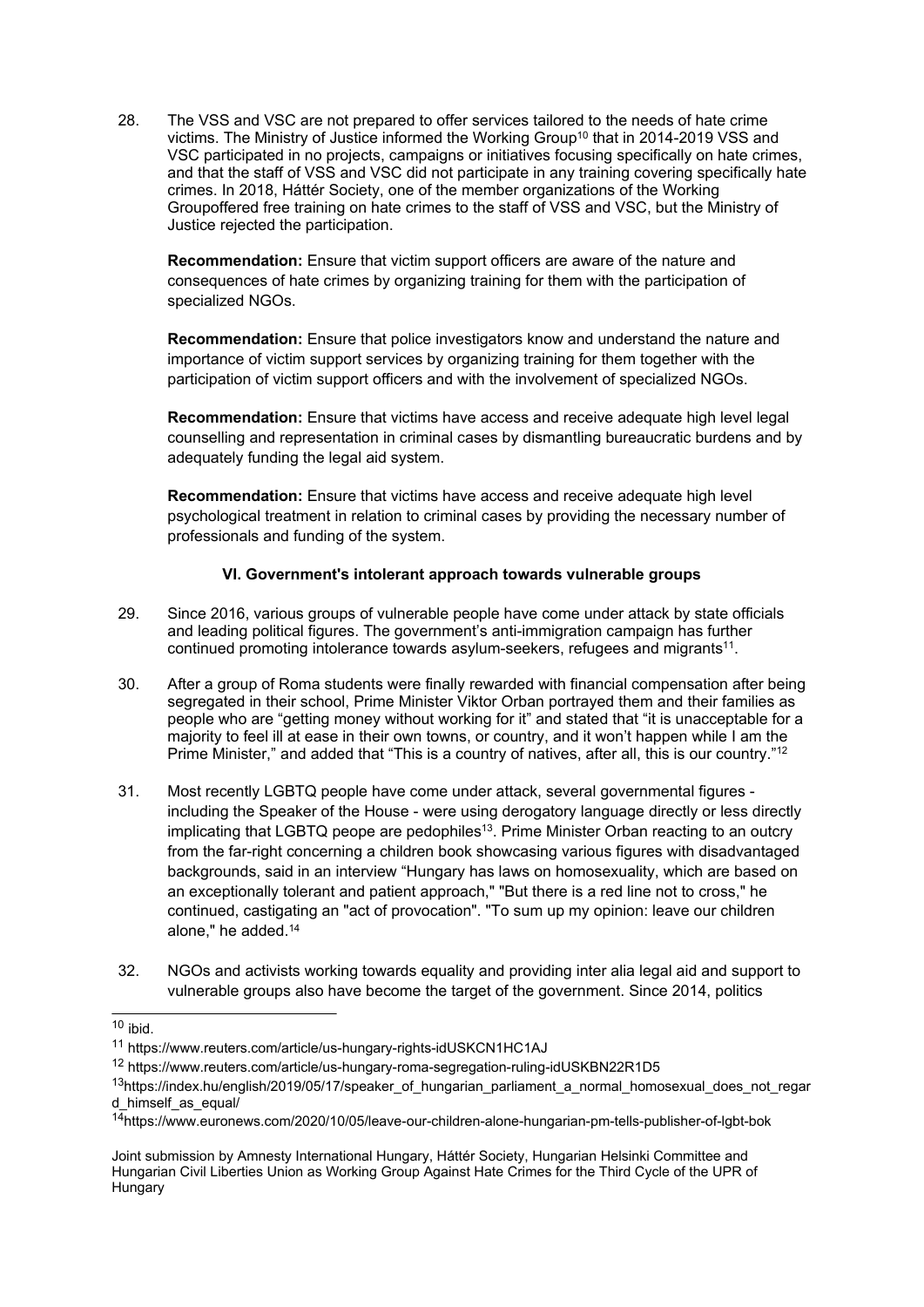28. The VSS and VSC are not prepared to offer services tailored to the needs of hate crime victims. The Ministry of Justice informed the Working Group $^{\rm 10}$  that in 2014-2019 VSS and VSC participated in no projects, campaigns or initiatives focusing specifically on hate crimes, and that the staff of VSS and VSC did not participate in any training covering specifically hate crimes. In 2018, Háttér Society, one of the member organizations of the Working Groupoffered free training on hate crimes to the staff of VSS and VSC, but the Ministry of Justice rejected the participation.

**Recommendation:** Ensure that victim support officers are aware of the nature and consequences of hate crimes by organizing training for them with the participation of specialized NGOs.

**Recommendation:** Ensure that police investigators know and understand the nature and importance of victim support services by organizing training for them together with the participation of victim support officers and with the involvement of specialized NGOs.

**Recommendation:** Ensure that victims have access and receive adequate high level legal counselling and representation in criminal cases by dismantling bureaucratic burdens and by adequately funding the legal aid system.

**Recommendation:** Ensure that victims have access and receive adequate high level psychological treatment in relation to criminal cases by providing the necessary number of professionals and funding of the system.

# **VI. Government's intolerant approach towards vulnerable groups**

- 29. Since 2016, various groups of vulnerable people have come under attack by state officials and leading political figures. The government'<sup>s</sup> anti-immigration campaign has further continued promoting intolerance towards asylum-seekers, refugees and migrants $^{\rm 11}$ .
- 30. After <sup>a</sup> group of Roma students were finally rewarded with financial compensation after being segregated in their school, Prime Minister Viktor Orban portrayed them and their families as people who are "getting money without working for it" and stated that "it is unacceptable for <sup>a</sup> majority to feel ill at ease in their own towns, or country, and it won't happen while I am the Prime Minister," and added that "This is <sup>a</sup> country of natives, after all, this is our country." 12
- 31. Most recently LGBTQ people have come under attack, several governmental figures including the Speaker of the House - were using derogatory language directly or less directly implicating that LGBTQ peope are pedophiles $^{\rm 13}$ . Prime Minister Orban reacting to an outcry from the far-right concerning <sup>a</sup> children book showcasing various figures with disadvantaged backgrounds, said in an interview "Hungary has laws on homosexuality, which are based on an exceptionally tolerant and patient approach," "But there is <sup>a</sup> red line not to cross," he continued, castigating an "act of provocation". "To sum up my opinion: leave our children alone," he added. 14
- 32. NGOs and activists working towards equality and providing inter alia legal aid and support to vulnerable groups also have become the target of the government. Since 2014, politics

<sup>&</sup>lt;sup>10</sup> ibid.

<sup>11</sup> https://www.reuters.com/article/us-hungary-rights-idUSKCN1HC1AJ

<sup>&</sup>lt;sup>12</sup> https://www.reuters.com/article/us-hungary-roma-segregation-ruling-idUSKBN22R1D5

<sup>13</sup> https://index.hu/english/2019/05/17/speaker\_of\_hungarian\_parliament\_a\_normal\_homosexual\_does\_not\_regar d\_himself\_as\_equal/

<sup>14</sup> https://www.euronews.com/2020/10/05/leave-our-children-alone-hungarian-pm-tells-publisher-of-lgbt-bok

Joint submission by Amnesty International Hungary, Háttér Society, Hungarian Helsinki Committee and Hungarian Civil Liberties Union as Working Group Against Hate Crimes for the Third Cycle of the UPR of Hungary